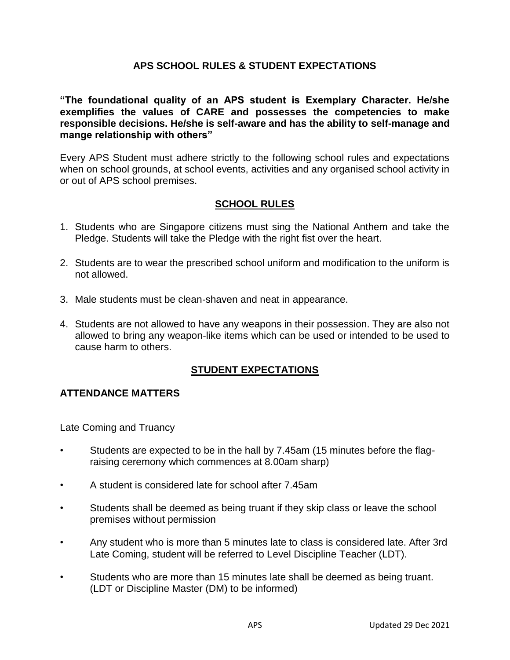## **APS SCHOOL RULES & STUDENT EXPECTATIONS**

**"The foundational quality of an APS student is Exemplary Character. He/she exemplifies the values of CARE and possesses the competencies to make responsible decisions. He/she is self-aware and has the ability to self-manage and mange relationship with others"**

Every APS Student must adhere strictly to the following school rules and expectations when on school grounds, at school events, activities and any organised school activity in or out of APS school premises.

# **SCHOOL RULES**

- 1. Students who are Singapore citizens must sing the National Anthem and take the Pledge. Students will take the Pledge with the right fist over the heart.
- 2. Students are to wear the prescribed school uniform and modification to the uniform is not allowed.
- 3. Male students must be clean-shaven and neat in appearance.
- 4. Students are not allowed to have any weapons in their possession. They are also not allowed to bring any weapon-like items which can be used or intended to be used to cause harm to others.

#### **STUDENT EXPECTATIONS**

#### **ATTENDANCE MATTERS**

Late Coming and Truancy

- Students are expected to be in the hall by 7.45am (15 minutes before the flagraising ceremony which commences at 8.00am sharp)
- A student is considered late for school after 7.45am
- Students shall be deemed as being truant if they skip class or leave the school premises without permission
- Any student who is more than 5 minutes late to class is considered late. After 3rd Late Coming, student will be referred to Level Discipline Teacher (LDT).
- Students who are more than 15 minutes late shall be deemed as being truant. (LDT or Discipline Master (DM) to be informed)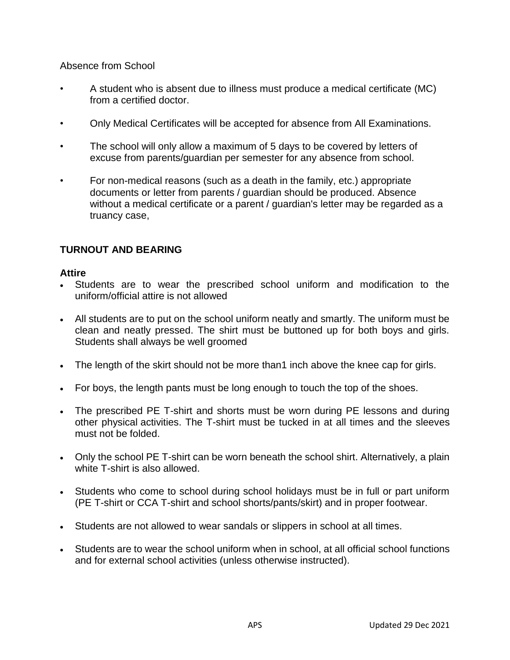Absence from School

- A student who is absent due to illness must produce a medical certificate (MC) from a certified doctor.
- Only Medical Certificates will be accepted for absence from All Examinations.
- The school will only allow a maximum of 5 days to be covered by letters of excuse from parents/guardian per semester for any absence from school.
- For non-medical reasons (such as a death in the family, etc.) appropriate documents or letter from parents / guardian should be produced. Absence without a medical certificate or a parent / guardian's letter may be regarded as a truancy case,

# **TURNOUT AND BEARING**

#### **Attire**

- Students are to wear the prescribed school uniform and modification to the uniform/official attire is not allowed
- All students are to put on the school uniform neatly and smartly. The uniform must be clean and neatly pressed. The shirt must be buttoned up for both boys and girls. Students shall always be well groomed
- The length of the skirt should not be more than1 inch above the knee cap for girls.
- For boys, the length pants must be long enough to touch the top of the shoes.
- The prescribed PE T-shirt and shorts must be worn during PE lessons and during other physical activities. The T-shirt must be tucked in at all times and the sleeves must not be folded.
- Only the school PE T-shirt can be worn beneath the school shirt. Alternatively, a plain white T-shirt is also allowed.
- Students who come to school during school holidays must be in full or part uniform (PE T-shirt or CCA T-shirt and school shorts/pants/skirt) and in proper footwear.
- Students are not allowed to wear sandals or slippers in school at all times.
- Students are to wear the school uniform when in school, at all official school functions and for external school activities (unless otherwise instructed).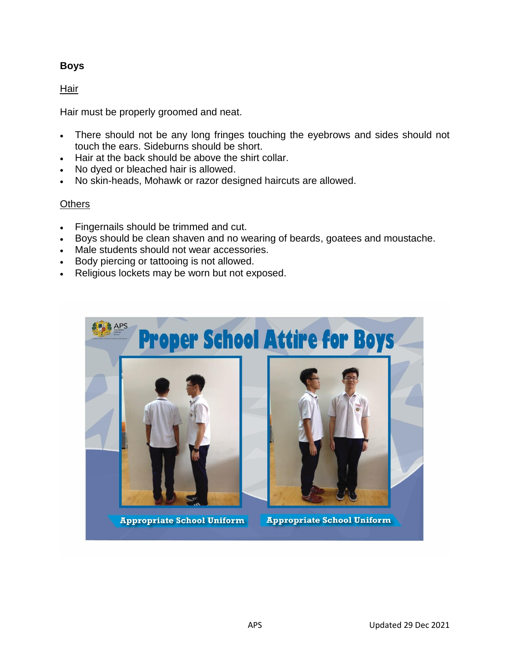# **Boys**

## Hair

Hair must be properly groomed and neat.

- There should not be any long fringes touching the eyebrows and sides should not touch the ears. Sideburns should be short.
- Hair at the back should be above the shirt collar.
- No dyed or bleached hair is allowed.
- No skin-heads, Mohawk or razor designed haircuts are allowed.

### **Others**

- Fingernails should be trimmed and cut.
- Boys should be clean shaven and no wearing of beards, goatees and moustache.
- Male students should not wear accessories.
- Body piercing or tattooing is not allowed.
- Religious lockets may be worn but not exposed.



**Appropriate School Uniform** 

**Appropriate School Uniform**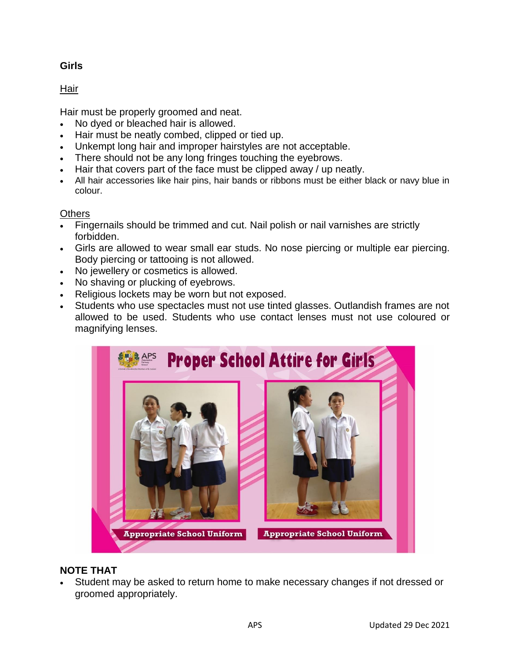# **Girls**

# Hair

Hair must be properly groomed and neat.

- No dyed or bleached hair is allowed.
- Hair must be neatly combed, clipped or tied up.
- Unkempt long hair and improper hairstyles are not acceptable.
- There should not be any long fringes touching the eyebrows.
- Hair that covers part of the face must be clipped away / up neatly.
- All hair accessories like hair pins, hair bands or ribbons must be either black or navy blue in colour.

### **Others**

- Fingernails should be trimmed and cut. Nail polish or nail varnishes are strictly forbidden.
- Girls are allowed to wear small ear studs. No nose piercing or multiple ear piercing. Body piercing or tattooing is not allowed.
- No jewellery or cosmetics is allowed.
- No shaving or plucking of eyebrows.
- Religious lockets may be worn but not exposed.
- Students who use spectacles must not use tinted glasses. Outlandish frames are not allowed to be used. Students who use contact lenses must not use coloured or magnifying lenses.



# **NOTE THAT**

 Student may be asked to return home to make necessary changes if not dressed or groomed appropriately.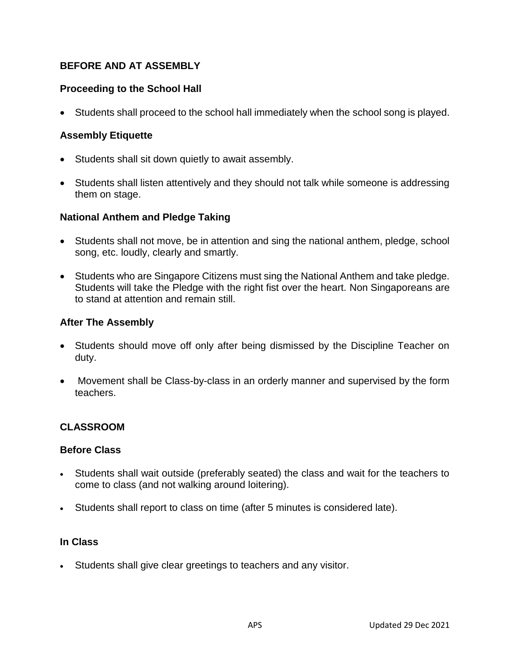# **BEFORE AND AT ASSEMBLY**

## **Proceeding to the School Hall**

Students shall proceed to the school hall immediately when the school song is played.

### **Assembly Etiquette**

- Students shall sit down quietly to await assembly.
- Students shall listen attentively and they should not talk while someone is addressing them on stage.

#### **National Anthem and Pledge Taking**

- Students shall not move, be in attention and sing the national anthem, pledge, school song, etc. loudly, clearly and smartly.
- Students who are Singapore Citizens must sing the National Anthem and take pledge. Students will take the Pledge with the right fist over the heart. Non Singaporeans are to stand at attention and remain still.

#### **After The Assembly**

- Students should move off only after being dismissed by the Discipline Teacher on duty.
- Movement shall be Class-by-class in an orderly manner and supervised by the form teachers.

#### **CLASSROOM**

#### **Before Class**

- Students shall wait outside (preferably seated) the class and wait for the teachers to come to class (and not walking around loitering).
- Students shall report to class on time (after 5 minutes is considered late).

#### **In Class**

Students shall give clear greetings to teachers and any visitor.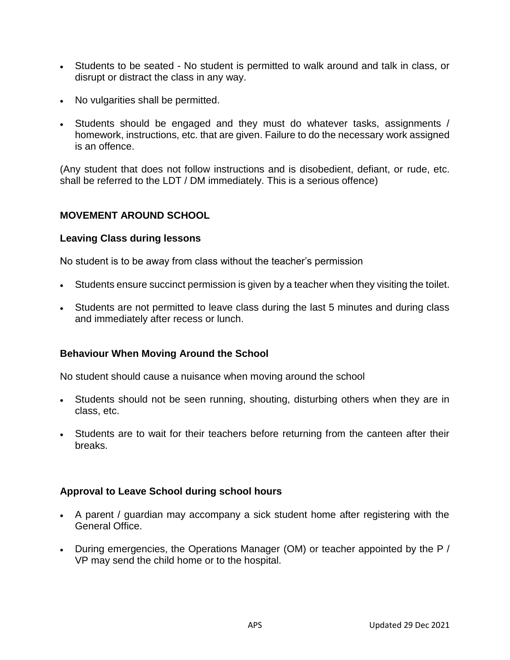- Students to be seated No student is permitted to walk around and talk in class, or disrupt or distract the class in any way.
- No vulgarities shall be permitted.
- Students should be engaged and they must do whatever tasks, assignments / homework, instructions, etc. that are given. Failure to do the necessary work assigned is an offence.

(Any student that does not follow instructions and is disobedient, defiant, or rude, etc. shall be referred to the LDT / DM immediately. This is a serious offence)

#### **MOVEMENT AROUND SCHOOL**

#### **Leaving Class during lessons**

No student is to be away from class without the teacher's permission

- Students ensure succinct permission is given by a teacher when they visiting the toilet.
- Students are not permitted to leave class during the last 5 minutes and during class and immediately after recess or lunch.

#### **Behaviour When Moving Around the School**

No student should cause a nuisance when moving around the school

- Students should not be seen running, shouting, disturbing others when they are in class, etc.
- Students are to wait for their teachers before returning from the canteen after their breaks.

#### **Approval to Leave School during school hours**

- A parent / guardian may accompany a sick student home after registering with the General Office.
- During emergencies, the Operations Manager (OM) or teacher appointed by the P / VP may send the child home or to the hospital.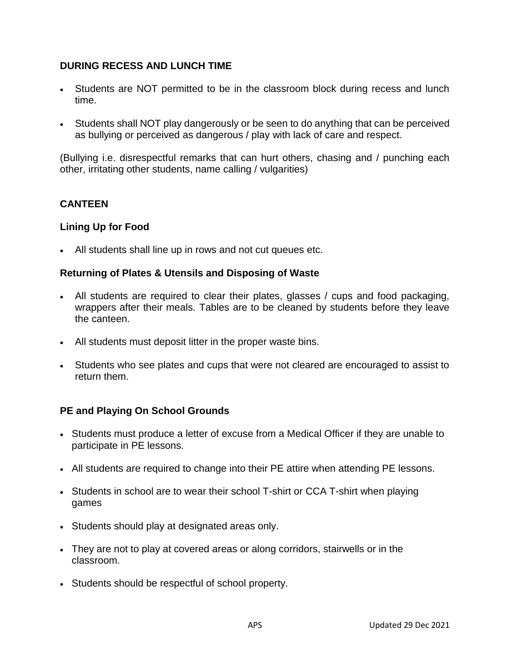## **DURING RECESS AND LUNCH TIME**

- Students are NOT permitted to be in the classroom block during recess and lunch time.
- Students shall NOT play dangerously or be seen to do anything that can be perceived as bullying or perceived as dangerous / play with lack of care and respect.

(Bullying i.e. disrespectful remarks that can hurt others, chasing and / punching each other, irritating other students, name calling / vulgarities)

### **CANTEEN**

#### **Lining Up for Food**

All students shall line up in rows and not cut queues etc.

#### **Returning of Plates & Utensils and Disposing of Waste**

- All students are required to clear their plates, glasses / cups and food packaging, wrappers after their meals. Tables are to be cleaned by students before they leave the canteen.
- All students must deposit litter in the proper waste bins.
- Students who see plates and cups that were not cleared are encouraged to assist to return them.

#### **PE and Playing On School Grounds**

- Students must produce a letter of excuse from a Medical Officer if they are unable to participate in PE lessons.
- All students are required to change into their PE attire when attending PE lessons.
- Students in school are to wear their school T-shirt or CCA T-shirt when playing games
- Students should play at designated areas only.
- They are not to play at covered areas or along corridors, stairwells or in the classroom.
- Students should be respectful of school property.